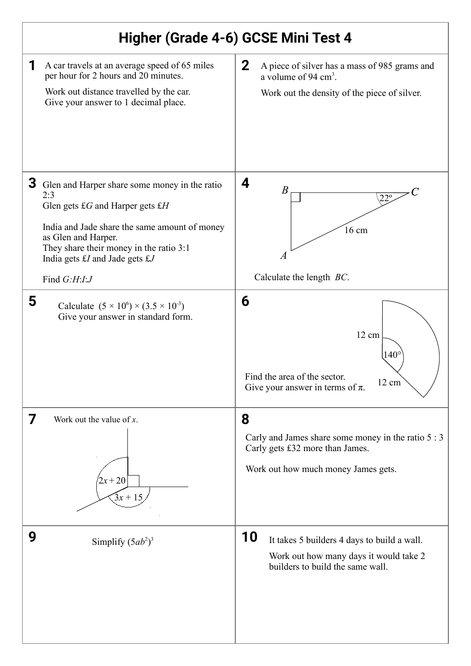